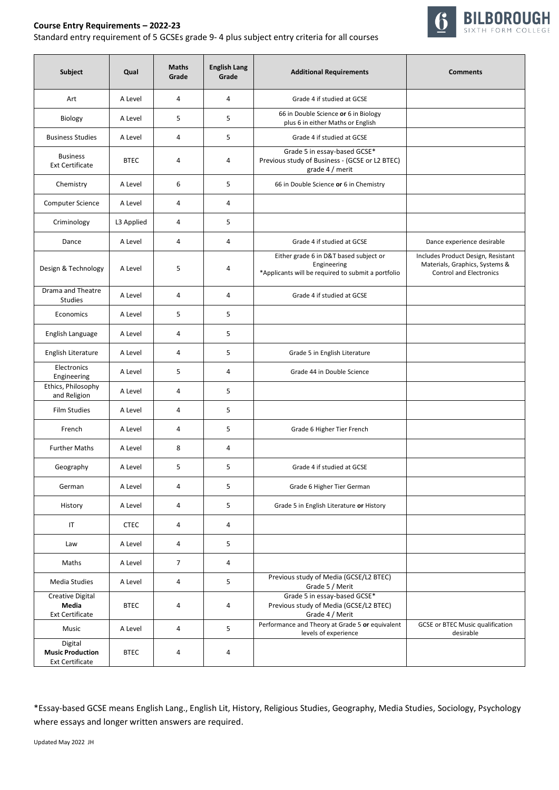

## **Course Entry Requirements – 2022-23** Standard entry requirement of 5 GCSEs grade 9- 4 plus subject entry criteria for all courses

| Subject                                                      | Qual        | <b>Maths</b><br>Grade | <b>English Lang</b><br>Grade | <b>Additional Requirements</b>                                                                              | <b>Comments</b>                                                                                        |
|--------------------------------------------------------------|-------------|-----------------------|------------------------------|-------------------------------------------------------------------------------------------------------------|--------------------------------------------------------------------------------------------------------|
| Art                                                          | A Level     | 4                     | 4                            | Grade 4 if studied at GCSE                                                                                  |                                                                                                        |
| Biology                                                      | A Level     | 5                     | 5                            | 66 in Double Science or 6 in Biology<br>plus 6 in either Maths or English                                   |                                                                                                        |
| <b>Business Studies</b>                                      | A Level     | 4                     | 5                            | Grade 4 if studied at GCSE                                                                                  |                                                                                                        |
| <b>Business</b><br><b>Ext Certificate</b>                    | <b>BTEC</b> | 4                     | 4                            | Grade 5 in essay-based GCSE*<br>Previous study of Business - (GCSE or L2 BTEC)<br>grade 4 / merit           |                                                                                                        |
| Chemistry                                                    | A Level     | 6                     | 5                            | 66 in Double Science or 6 in Chemistry                                                                      |                                                                                                        |
| Computer Science                                             | A Level     | 4                     | 4                            |                                                                                                             |                                                                                                        |
| Criminology                                                  | L3 Applied  | 4                     | 5                            |                                                                                                             |                                                                                                        |
| Dance                                                        | A Level     | 4                     | 4                            | Grade 4 if studied at GCSE                                                                                  | Dance experience desirable                                                                             |
| Design & Technology                                          | A Level     | 5                     | 4                            | Either grade 6 in D&T based subject or<br>Engineering<br>*Applicants will be required to submit a portfolio | Includes Product Design, Resistant<br>Materials, Graphics, Systems &<br><b>Control and Electronics</b> |
| Drama and Theatre<br><b>Studies</b>                          | A Level     | 4                     | 4                            | Grade 4 if studied at GCSE                                                                                  |                                                                                                        |
| Economics                                                    | A Level     | 5                     | 5                            |                                                                                                             |                                                                                                        |
| English Language                                             | A Level     | 4                     | 5                            |                                                                                                             |                                                                                                        |
| English Literature                                           | A Level     | 4                     | 5                            | Grade 5 in English Literature                                                                               |                                                                                                        |
| Electronics<br>Engineering                                   | A Level     | 5                     | 4                            | Grade 44 in Double Science                                                                                  |                                                                                                        |
| Ethics, Philosophy<br>and Religion                           | A Level     | 4                     | 5                            |                                                                                                             |                                                                                                        |
| <b>Film Studies</b>                                          | A Level     | 4                     | 5                            |                                                                                                             |                                                                                                        |
| French                                                       | A Level     | 4                     | 5                            | Grade 6 Higher Tier French                                                                                  |                                                                                                        |
| <b>Further Maths</b>                                         | A Level     | 8                     | 4                            |                                                                                                             |                                                                                                        |
| Geography                                                    | A Level     | 5                     | 5                            | Grade 4 if studied at GCSE                                                                                  |                                                                                                        |
| German                                                       | A Level     | 4                     | 5                            | Grade 6 Higher Tier German                                                                                  |                                                                                                        |
| History                                                      | A Level     | 4                     | 5                            | Grade 5 in English Literature or History                                                                    |                                                                                                        |
| IT                                                           | <b>CTEC</b> | 4                     | $\overline{4}$               |                                                                                                             |                                                                                                        |
| Law                                                          | A Level     | 4                     | 5                            |                                                                                                             |                                                                                                        |
| Maths                                                        | A Level     | $\overline{7}$        | 4                            |                                                                                                             |                                                                                                        |
| Media Studies                                                | A Level     | 4                     | 5                            | Previous study of Media (GCSE/L2 BTEC)<br>Grade 5 / Merit                                                   |                                                                                                        |
| <b>Creative Digital</b><br>Media<br><b>Ext Certificate</b>   | <b>BTEC</b> | 4                     | 4                            | Grade 5 in essay-based GCSE*<br>Previous study of Media (GCSE/L2 BTEC)<br>Grade 4 / Merit                   |                                                                                                        |
| Music                                                        | A Level     | 4                     | 5                            | Performance and Theory at Grade 5 or equivalent<br>levels of experience                                     | <b>GCSE or BTEC Music qualification</b><br>desirable                                                   |
| Digital<br><b>Music Production</b><br><b>Ext Certificate</b> | <b>BTEC</b> | 4                     | 4                            |                                                                                                             |                                                                                                        |

\*Essay-based GCSE means English Lang., English Lit, History, Religious Studies, Geography, Media Studies, Sociology, Psychology where essays and longer written answers are required.